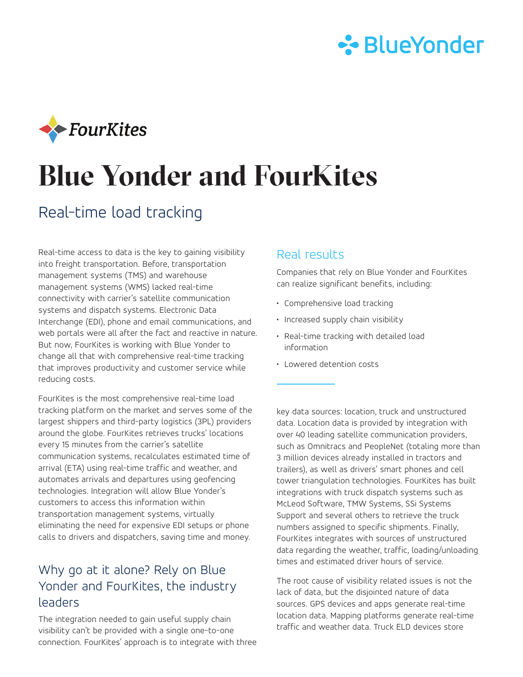



# **Blue Yonder and FourKites**

## Real-time load tracking

Real-time access to data is the key to gaining visibility into freight transportation. Before, transportation management systems (TMS) and warehouse management systems (WMS) lacked real-time connectivity with carrier's satellite communication systems and dispatch systems. Electronic Data Interchange (EDI), phone and email communications, and web portals were all after the fact and reactive in nature. But now, FourKites is working with Blue Yonder to change all that with comprehensive real-time tracking that improves productivity and customer service while reducing costs.

FourKites is the most comprehensive real-time load tracking platform on the market and serves some of the largest shippers and third-party logistics (3PL) providers around the globe. FourKites retrieves trucks' locations every 15 minutes from the carrier's satellite communication systems, recalculates estimated time of arrival (ETA) using real-time traffic and weather, and automates arrivals and departures using geofencing technologies. Integration will allow Blue Yonder's customers to access this information within transportation management systems, virtually eliminating the need for expensive EDI setups or phone calls to drivers and dispatchers, saving time and money.

## Why go at it alone? Rely on Blue Yonder and FourKites, the industry leaders

The integration needed to gain useful supply chain visibility can't be provided with a single one-to-one connection. FourKites' approach is to integrate with three

#### Real results

Companies that rely on Blue Yonder and FourKites can realize significant benefits, including:

- Comprehensive load tracking
- Increased supply chain visibility
- Real-time tracking with detailed load information
- Lowered detention costs

key data sources: location, truck and unstructured data. Location data is provided by integration with over 40 leading satellite communication providers, such as Omnitracs and PeopleNet (totaling more than 3 million devices already installed in tractors and trailers), as well as drivers' smart phones and cell tower triangulation technologies. FourKites has built integrations with truck dispatch systems such as McLeod Software, TMW Systems, SSi Systems Support and several others to retrieve the truck numbers assigned to specific shipments. Finally, FourKites integrates with sources of unstructured data regarding the weather, traffic, loading/unloading times and estimated driver hours of service.

The root cause of visibility related issues is not the lack of data, but the disjointed nature of data sources. GPS devices and apps generate real-time location data. Mapping platforms generate real-time traffic and weather data. Truck ELD devices store